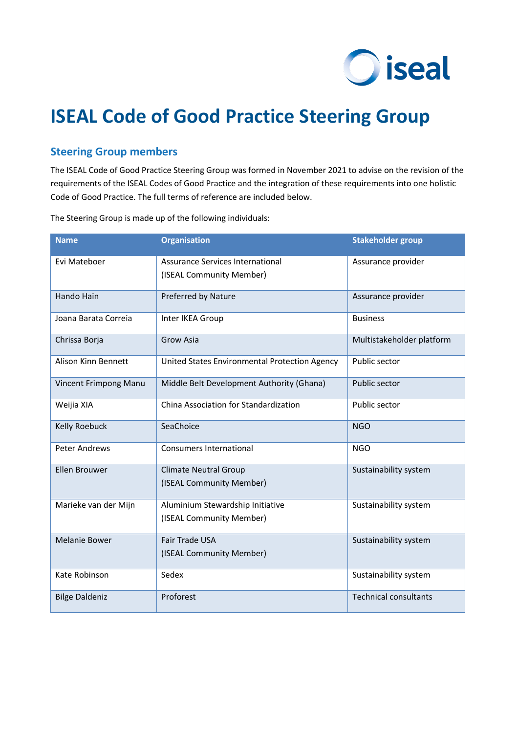

# **ISEAL Code of Good Practice Steering Group**

# **Steering Group members**

The ISEAL Code of Good Practice Steering Group was formed in November 2021 to advise on the revision of the requirements of the ISEAL Codes of Good Practice and the integration of these requirements into one holistic Code of Good Practice. The full terms of reference are included below.

The Steering Group is made up of the following individuals:

| <b>Name</b>                | <b>Organisation</b>                                          | <b>Stakeholder group</b>     |
|----------------------------|--------------------------------------------------------------|------------------------------|
| Evi Mateboer               | Assurance Services International<br>(ISEAL Community Member) | Assurance provider           |
| Hando Hain                 | Preferred by Nature                                          | Assurance provider           |
| Joana Barata Correia       | Inter IKEA Group                                             | <b>Business</b>              |
| Chrissa Borja              | <b>Grow Asia</b>                                             | Multistakeholder platform    |
| <b>Alison Kinn Bennett</b> | United States Environmental Protection Agency                | Public sector                |
| Vincent Frimpong Manu      | Middle Belt Development Authority (Ghana)                    | Public sector                |
| Weijia XIA                 | China Association for Standardization                        | Public sector                |
| Kelly Roebuck              | SeaChoice                                                    | <b>NGO</b>                   |
| <b>Peter Andrews</b>       | <b>Consumers International</b>                               | <b>NGO</b>                   |
| Ellen Brouwer              | <b>Climate Neutral Group</b><br>(ISEAL Community Member)     | Sustainability system        |
| Marieke van der Mijn       | Aluminium Stewardship Initiative<br>(ISEAL Community Member) | Sustainability system        |
| <b>Melanie Bower</b>       | Fair Trade USA<br>(ISEAL Community Member)                   | Sustainability system        |
| Kate Robinson              | Sedex                                                        | Sustainability system        |
| <b>Bilge Daldeniz</b>      | Proforest                                                    | <b>Technical consultants</b> |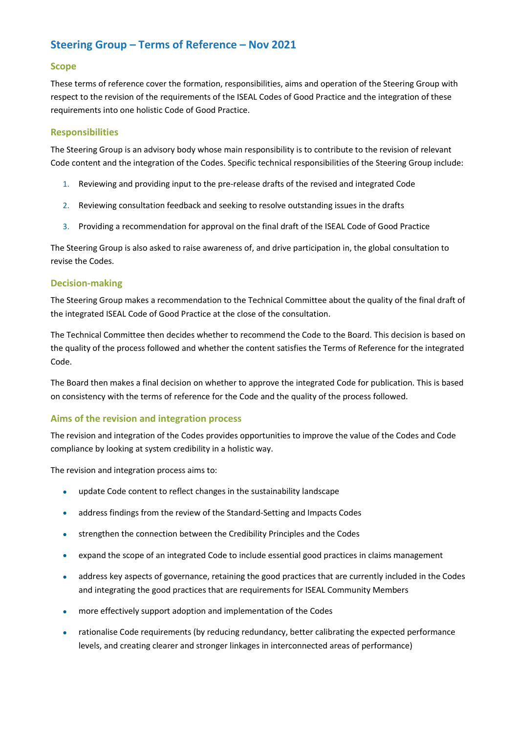# **Steering Group – Terms of Reference – Nov 2021**

#### **Scope**

These terms of reference cover the formation, responsibilities, aims and operation of the Steering Group with respect to the revision of the requirements of the ISEAL Codes of Good Practice and the integration of these requirements into one holistic Code of Good Practice.

#### **Responsibilities**

The Steering Group is an advisory body whose main responsibility is to contribute to the revision of relevant Code content and the integration of the Codes. Specific technical responsibilities of the Steering Group include:

- 1. Reviewing and providing input to the pre-release drafts of the revised and integrated Code
- 2. Reviewing consultation feedback and seeking to resolve outstanding issues in the drafts
- 3. Providing a recommendation for approval on the final draft of the ISEAL Code of Good Practice

The Steering Group is also asked to raise awareness of, and drive participation in, the global consultation to revise the Codes.

#### **Decision-making**

The Steering Group makes a recommendation to the Technical Committee about the quality of the final draft of the integrated ISEAL Code of Good Practice at the close of the consultation.

The Technical Committee then decides whether to recommend the Code to the Board. This decision is based on the quality of the process followed and whether the content satisfies the Terms of Reference for the integrated Code.

The Board then makes a final decision on whether to approve the integrated Code for publication. This is based on consistency with the terms of reference for the Code and the quality of the process followed.

# **Aims of the revision and integration process**

The revision and integration of the Codes provides opportunities to improve the value of the Codes and Code compliance by looking at system credibility in a holistic way.

The revision and integration process aims to:

- update Code content to reflect changes in the sustainability landscape
- address findings from the review of the Standard-Setting and Impacts Codes
- strengthen the connection between the Credibility Principles and the Codes
- expand the scope of an integrated Code to include essential good practices in claims management
- address key aspects of governance, retaining the good practices that are currently included in the Codes and integrating the good practices that are requirements for ISEAL Community Members
- more effectively support adoption and implementation of the Codes
- rationalise Code requirements (by reducing redundancy, better calibrating the expected performance levels, and creating clearer and stronger linkages in interconnected areas of performance)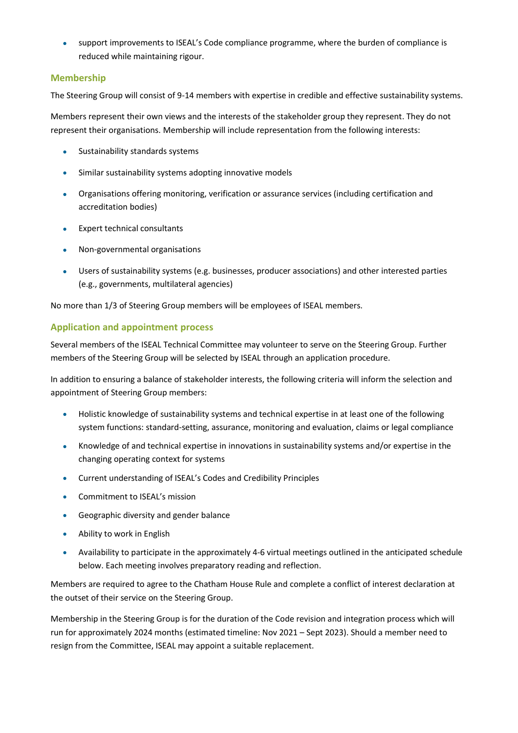• support improvements to ISEAL's Code compliance programme, where the burden of compliance is reduced while maintaining rigour.

#### **Membership**

The Steering Group will consist of 9-14 members with expertise in credible and effective sustainability systems.

Members represent their own views and the interests of the stakeholder group they represent. They do not represent their organisations. Membership will include representation from the following interests:

- Sustainability standards systems
- Similar sustainability systems adopting innovative models
- Organisations offering monitoring, verification or assurance services (including certification and accreditation bodies)
- Expert technical consultants
- Non-governmental organisations
- Users of sustainability systems (e.g. businesses, producer associations) and other interested parties (e.g., governments, multilateral agencies)

No more than 1/3 of Steering Group members will be employees of ISEAL members.

## **Application and appointment process**

Several members of the ISEAL Technical Committee may volunteer to serve on the Steering Group. Further members of the Steering Group will be selected by ISEAL through an application procedure.

In addition to ensuring a balance of stakeholder interests, the following criteria will inform the selection and appointment of Steering Group members:

- Holistic knowledge of sustainability systems and technical expertise in at least one of the following system functions: standard-setting, assurance, monitoring and evaluation, claims or legal compliance
- Knowledge of and technical expertise in innovations in sustainability systems and/or expertise in the changing operating context for systems
- Current understanding of ISEAL's Codes and Credibility Principles
- Commitment to ISEAL's mission
- Geographic diversity and gender balance
- Ability to work in English
- Availability to participate in the approximately 4-6 virtual meetings outlined in the anticipated schedule below. Each meeting involves preparatory reading and reflection.

Members are required to agree to the Chatham House Rule and complete a conflict of interest declaration at the outset of their service on the Steering Group.

Membership in the Steering Group is for the duration of the Code revision and integration process which will run for approximately 2024 months (estimated timeline: Nov 2021 – Sept 2023). Should a member need to resign from the Committee, ISEAL may appoint a suitable replacement.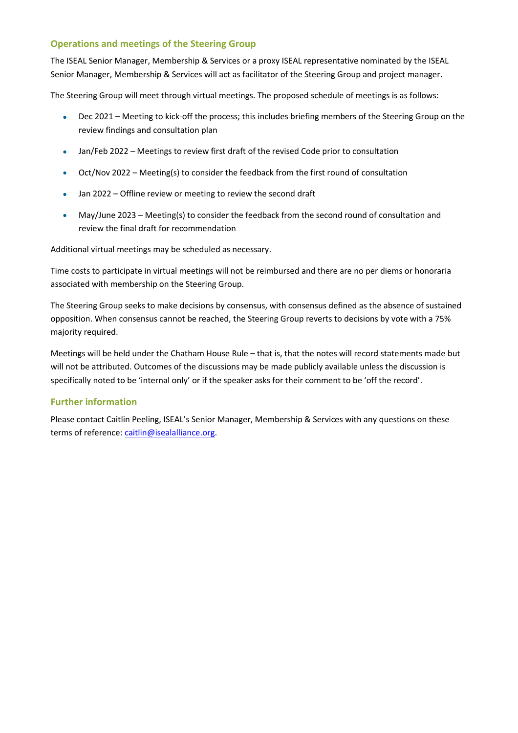## **Operations and meetings of the Steering Group**

The ISEAL Senior Manager, Membership & Services or a proxy ISEAL representative nominated by the ISEAL Senior Manager, Membership & Services will act as facilitator of the Steering Group and project manager.

The Steering Group will meet through virtual meetings. The proposed schedule of meetings is as follows:

- Dec 2021 Meeting to kick-off the process; this includes briefing members of the Steering Group on the review findings and consultation plan
- Jan/Feb 2022 Meetings to review first draft of the revised Code prior to consultation
- Oct/Nov 2022 Meeting(s) to consider the feedback from the first round of consultation
- Jan 2022 Offline review or meeting to review the second draft
- May/June 2023 Meeting(s) to consider the feedback from the second round of consultation and review the final draft for recommendation

Additional virtual meetings may be scheduled as necessary.

Time costs to participate in virtual meetings will not be reimbursed and there are no per diems or honoraria associated with membership on the Steering Group.

The Steering Group seeks to make decisions by consensus, with consensus defined as the absence of sustained opposition. When consensus cannot be reached, the Steering Group reverts to decisions by vote with a 75% majority required.

Meetings will be held under the Chatham House Rule – that is, that the notes will record statements made but will not be attributed. Outcomes of the discussions may be made publicly available unless the discussion is specifically noted to be 'internal only' or if the speaker asks for their comment to be 'off the record'.

#### **Further information**

Please contact Caitlin Peeling, ISEAL's Senior Manager, Membership & Services with any questions on these terms of reference: [caitlin@isealalliance.org.](mailto:caitlin@isealalliance.org)